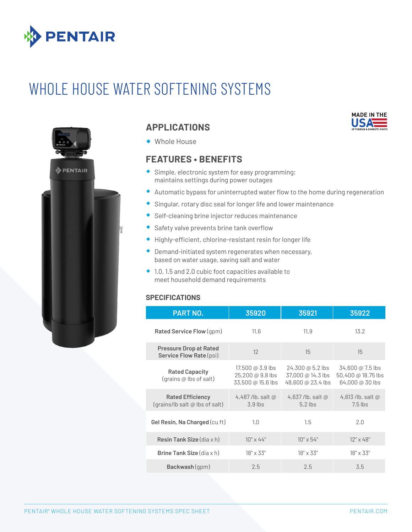

# WHOLE HOUSE WATER SOFTENING SYSTEMS



## **APPLICATIONS**

® Whole House

## **FEATURES • BENEFITS**

- ® Simple, electronic system for easy programming; maintains settings during power outages
- ® Automatic bypass for uninterrupted water flow to the home during regeneration
- Singular, rotary disc seal for longer life and lower maintenance
- ® Self-cleaning brine injector reduces maintenance
- ® Safety valve prevents brine tank overflow
- ® Highly-efficient, chlorine-resistant resin for longer life
- $\bullet$  Demand-initiated system regenerates when necessary, based on water usage, saving salt and water
- $\bullet$  1.0, 1.5 and 2.0 cubic foot capacities available to meet household demand requirements

#### **SPECIFICATIONS**

| <b>PART NO.</b>                                                 | 35920                                                                                                           | 35921                                                      | 35922                                                     |
|-----------------------------------------------------------------|-----------------------------------------------------------------------------------------------------------------|------------------------------------------------------------|-----------------------------------------------------------|
| <b>Rated Service Flow (gpm)</b>                                 | 11.6                                                                                                            | 11.9                                                       | 13.2                                                      |
| <b>Pressure Drop at Rated</b><br><b>Service Flow Rate (psi)</b> | 12                                                                                                              | 15                                                         | 15                                                        |
| <b>Rated Capacity</b><br>(grains @ lbs of salt)                 | 17,500 @ $3.9$ lbs<br>$25,200 \text{ } \textcircled{a} 9.8 \text{ lbs}$<br>$33,500 \text{ @ } 15.6 \text{ lbs}$ | 24,300 @ 5.2 lbs<br>37,000 @ 14.3 lbs<br>48,600 @ 23.4 lbs | 34,600 @ 7.5 lbs<br>50,400 @ 18.75 lbs<br>64,000 @ 30 lbs |
| <b>Rated Efficiency</b><br>(grains/lb salt @ lbs of salt)       | 4,487/lb. salt $@$<br>$3.9$ lbs                                                                                 | 4,637/lb. salt $@$<br>$5.2$ lbs                            | 4,613 /lb. salt $@$<br>$7.5$ lbs                          |
| Gel Resin, Na Charged (cu ft)                                   | 1.0                                                                                                             | 1.5                                                        | 2.0                                                       |
| <b>Resin Tank Size</b> (dia $x$ h)                              | $10" \times 44"$                                                                                                | $10" \times 54"$                                           | $12" \times 48"$                                          |
| <b>Brine Tank Size</b> $(\text{dia } x h)$                      | $18" \times 33"$                                                                                                | $18" \times 33"$                                           | $18" \times 33"$                                          |
| Backwash (qpm)                                                  | 2.5                                                                                                             | 2.5                                                        | 3.5                                                       |